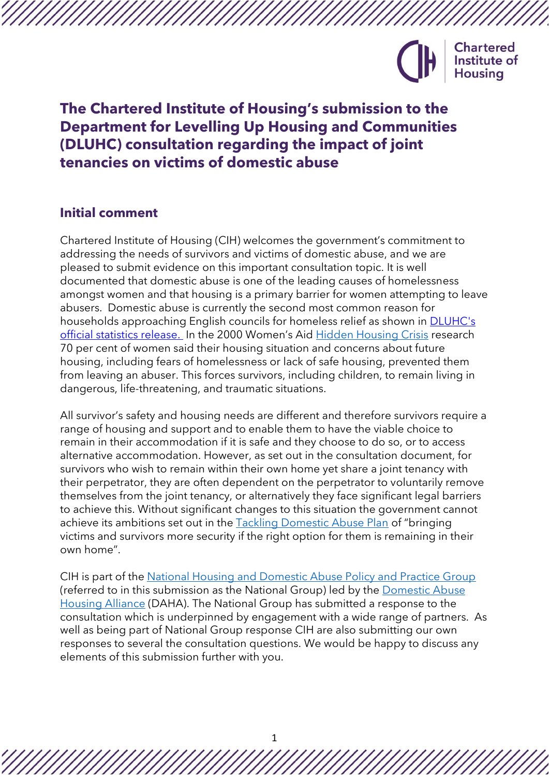

# **The Chartered Institute of Housing's submission to the Department for Levelling Up Housing and Communities (DLUHC) consultation regarding the impact of joint tenancies on victims of domestic abuse**

# **Initial comment**

Chartered Institute of Housing (CIH) welcomes the government's commitment to addressing the needs of survivors and victims of domestic abuse, and we are pleased to submit evidence on this important consultation topic. It is well documented that domestic abuse is one of the leading causes of homelessness amongst women and that housing is a primary barrier for women attempting to leave abusers. Domestic abuse is currently the second most common reason for households approaching English councils for homeless relief as shown in [DLUHC's](https://assets.publishing.service.gov.uk/government/uploads/system/uploads/attachment_data/file/1050291/Statutory_Homelessness_Stats_Release_July-September_2021.pdf)  [official statistics release.](https://assets.publishing.service.gov.uk/government/uploads/system/uploads/attachment_data/file/1050291/Statutory_Homelessness_Stats_Release_July-September_2021.pdf) In the 2000 Women's Aid [Hidden Housing Crisis](https://www.womensaid.org.uk/wp-content/uploads/2020/06/The-Domestic-Abuse-Report-2020-The-Hidden-Housing-Crisis.pdf) research 70 per cent of women said their housing situation and concerns about future housing, including fears of homelessness or lack of safe housing, prevented them from leaving an abuser. This forces survivors, including children, to remain living in dangerous, life-threatening, and traumatic situations.

All survivor's safety and housing needs are different and therefore survivors require a range of housing and support and to enable them to have the viable choice to remain in their accommodation if it is safe and they choose to do so, or to access alternative accommodation. However, as set out in the consultation document, for survivors who wish to remain within their own home yet share a joint tenancy with their perpetrator, they are often dependent on the perpetrator to voluntarily remove themselves from the joint tenancy, or alternatively they face significant legal barriers to achieve this. Without significant changes to this situation the government cannot achieve its ambitions set out in the [Tackling Domestic Abuse Plan](https://assets.publishing.service.gov.uk/government/uploads/system/uploads/attachment_data/file/1064427/E02735263_Tackling_Domestic_Abuse_CP_639_Accessible.pdf) of "bringing victims and survivors more security if the right option for them is remaining in their own home".

CIH is part of the [National Housing and Domestic Abuse Policy and Practice Group](https://www.dahalliance.org.uk/what-we-do/national-policy-practice-group/what-is-the-national-policy-practice-group/) (referred to in this submission as the National Group) led by the [Domestic Abuse](https://www.dahalliance.org.uk/)  [Housing Alliance](https://www.dahalliance.org.uk/) (DAHA). The National Group has submitted a response to the consultation which is underpinned by engagement with a wide range of partners. As well as being part of National Group response CIH are also submitting our own responses to several the consultation questions. We would be happy to discuss any elements of this submission further with you.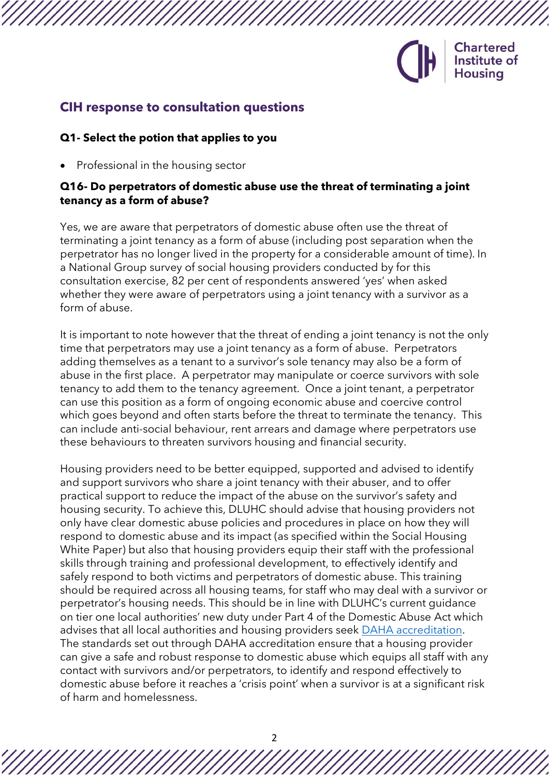

# **CIH response to consultation questions**

#### **Q1- Select the potion that applies to you**

• Professional in the housing sector

## **Q16- Do perpetrators of domestic abuse use the threat of terminating a joint tenancy as a form of abuse?**

Yes, we are aware that perpetrators of domestic abuse often use the threat of terminating a joint tenancy as a form of abuse (including post separation when the perpetrator has no longer lived in the property for a considerable amount of time). In a National Group survey of social housing providers conducted by for this consultation exercise, 82 per cent of respondents answered 'yes' when asked whether they were aware of perpetrators using a joint tenancy with a survivor as a form of abuse.

It is important to note however that the threat of ending a joint tenancy is not the only time that perpetrators may use a joint tenancy as a form of abuse. Perpetrators adding themselves as a tenant to a survivor's sole tenancy may also be a form of abuse in the first place. A perpetrator may manipulate or coerce survivors with sole tenancy to add them to the tenancy agreement. Once a joint tenant, a perpetrator can use this position as a form of ongoing economic abuse and coercive control which goes beyond and often starts before the threat to terminate the tenancy. This can include anti-social behaviour, rent arrears and damage where perpetrators use these behaviours to threaten survivors housing and financial security.

Housing providers need to be better equipped, supported and advised to identify and support survivors who share a joint tenancy with their abuser, and to offer practical support to reduce the impact of the abuse on the survivor's safety and housing security. To achieve this, DLUHC should advise that housing providers not only have clear domestic abuse policies and procedures in place on how they will respond to domestic abuse and its impact (as specified within the Social Housing White Paper) but also that housing providers equip their staff with the professional skills through training and professional development, to effectively identify and safely respond to both victims and perpetrators of domestic abuse. This training should be required across all housing teams, for staff who may deal with a survivor or perpetrator's housing needs. This should be in line with DLUHC's current guidance on tier one local authorities' new duty under Part 4 of the Domestic Abuse Act which advises that all local authorities and housing providers seek [DAHA accreditation.](https://www.dahalliance.org.uk/what-we-do/accreditation-for-housing-providers/) The standards set out through DAHA accreditation ensure that a housing provider can give a safe and robust response to domestic abuse which equips all staff with any contact with survivors and/or perpetrators, to identify and respond effectively to domestic abuse before it reaches a 'crisis point' when a survivor is at a significant risk of harm and homelessness.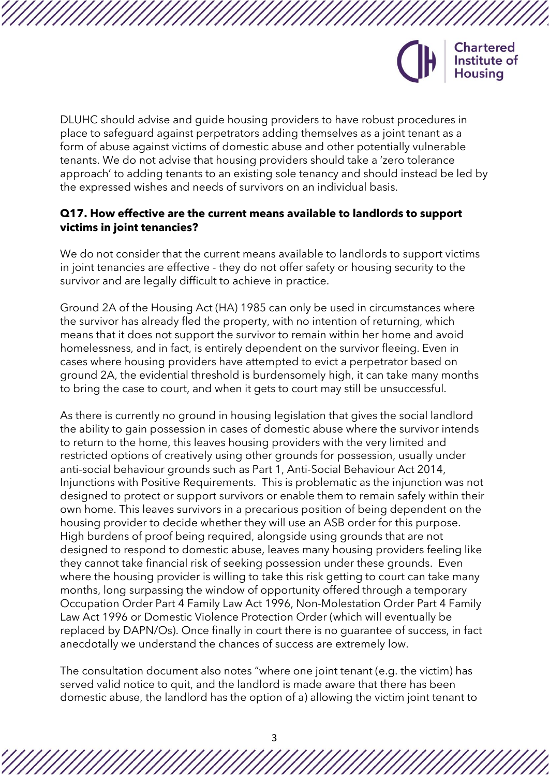

DLUHC should advise and guide housing providers to have robust procedures in place to safeguard against perpetrators adding themselves as a joint tenant as a form of abuse against victims of domestic abuse and other potentially vulnerable tenants. We do not advise that housing providers should take a 'zero tolerance approach' to adding tenants to an existing sole tenancy and should instead be led by the expressed wishes and needs of survivors on an individual basis.

## **Q17. How effective are the current means available to landlords to support victims in joint tenancies?**

We do not consider that the current means available to landlords to support victims in joint tenancies are effective - they do not offer safety or housing security to the survivor and are legally difficult to achieve in practice.

Ground 2A of the Housing Act (HA) 1985 can only be used in circumstances where the survivor has already fled the property, with no intention of returning, which means that it does not support the survivor to remain within her home and avoid homelessness, and in fact, is entirely dependent on the survivor fleeing. Even in cases where housing providers have attempted to evict a perpetrator based on ground 2A, the evidential threshold is burdensomely high, it can take many months to bring the case to court, and when it gets to court may still be unsuccessful.

As there is currently no ground in housing legislation that gives the social landlord the ability to gain possession in cases of domestic abuse where the survivor intends to return to the home, this leaves housing providers with the very limited and restricted options of creatively using other grounds for possession, usually under anti-social behaviour grounds such as Part 1, Anti-Social Behaviour Act 2014, Injunctions with Positive Requirements. This is problematic as the injunction was not designed to protect or support survivors or enable them to remain safely within their own home. This leaves survivors in a precarious position of being dependent on the housing provider to decide whether they will use an ASB order for this purpose. High burdens of proof being required, alongside using grounds that are not designed to respond to domestic abuse, leaves many housing providers feeling like they cannot take financial risk of seeking possession under these grounds. Even where the housing provider is willing to take this risk getting to court can take many months, long surpassing the window of opportunity offered through a temporary Occupation Order Part 4 Family Law Act 1996, Non-Molestation Order Part 4 Family Law Act 1996 or Domestic Violence Protection Order (which will eventually be replaced by DAPN/Os). Once finally in court there is no guarantee of success, in fact anecdotally we understand the chances of success are extremely low.

The consultation document also notes "where one joint tenant (e.g. the victim) has served valid notice to quit, and the landlord is made aware that there has been domestic abuse, the landlord has the option of a) allowing the victim joint tenant to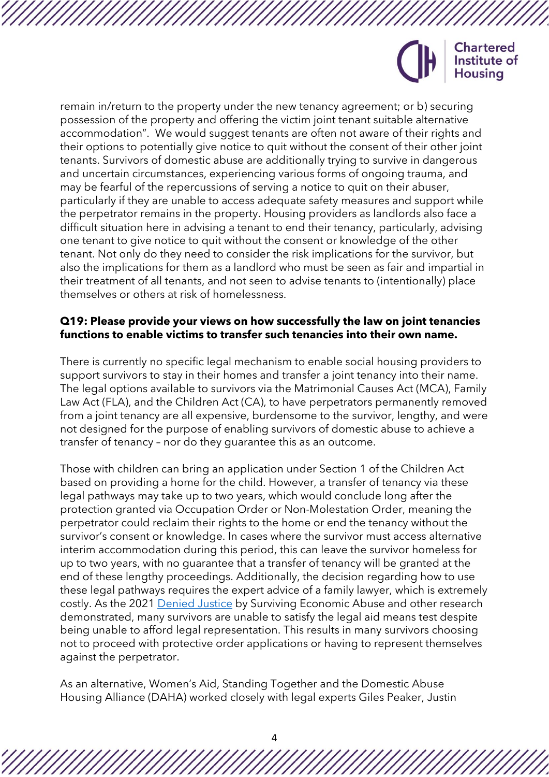

remain in/return to the property under the new tenancy agreement; or b) securing possession of the property and offering the victim joint tenant suitable alternative accommodation". We would suggest tenants are often not aware of their rights and their options to potentially give notice to quit without the consent of their other joint tenants. Survivors of domestic abuse are additionally trying to survive in dangerous and uncertain circumstances, experiencing various forms of ongoing trauma, and may be fearful of the repercussions of serving a notice to quit on their abuser, particularly if they are unable to access adequate safety measures and support while the perpetrator remains in the property. Housing providers as landlords also face a difficult situation here in advising a tenant to end their tenancy, particularly, advising one tenant to give notice to quit without the consent or knowledge of the other tenant. Not only do they need to consider the risk implications for the survivor, but also the implications for them as a landlord who must be seen as fair and impartial in their treatment of all tenants, and not seen to advise tenants to (intentionally) place themselves or others at risk of homelessness.

#### **Q19: Please provide your views on how successfully the law on joint tenancies functions to enable victims to transfer such tenancies into their own name.**

There is currently no specific legal mechanism to enable social housing providers to support survivors to stay in their homes and transfer a joint tenancy into their name. The legal options available to survivors via the Matrimonial Causes Act (MCA), Family Law Act (FLA), and the Children Act (CA), to have perpetrators permanently removed from a joint tenancy are all expensive, burdensome to the survivor, lengthy, and were not designed for the purpose of enabling survivors of domestic abuse to achieve a transfer of tenancy – nor do they guarantee this as an outcome.

Those with children can bring an application under Section 1 of the Children Act based on providing a home for the child. However, a transfer of tenancy via these legal pathways may take up to two years, which would conclude long after the protection granted via Occupation Order or Non-Molestation Order, meaning the perpetrator could reclaim their rights to the home or end the tenancy without the survivor's consent or knowledge. In cases where the survivor must access alternative interim accommodation during this period, this can leave the survivor homeless for up to two years, with no guarantee that a transfer of tenancy will be granted at the end of these lengthy proceedings. Additionally, the decision regarding how to use these legal pathways requires the expert advice of a family lawyer, which is extremely costly. As the 2021 [Denied Justice](https://survivingeconomicabuse.org/wp-content/uploads/2021/10/Denied-justice-October-2021.pdf) by Surviving Economic Abuse and other research demonstrated, many survivors are unable to satisfy the legal aid means test despite being unable to afford legal representation. This results in many survivors choosing not to proceed with protective order applications or having to represent themselves against the perpetrator.

As an alternative, Women's Aid, Standing Together and the Domestic Abuse Housing Alliance (DAHA) worked closely with legal experts Giles Peaker, Justin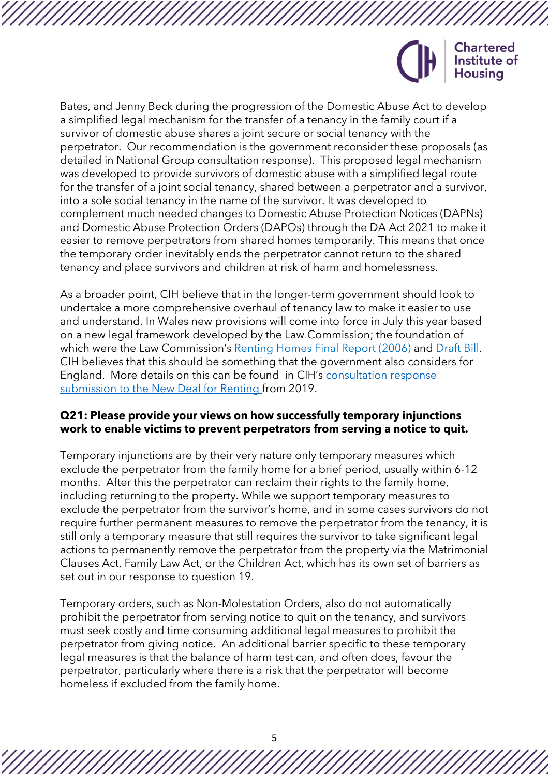

Bates, and Jenny Beck during the progression of the Domestic Abuse Act to develop a simplified legal mechanism for the transfer of a tenancy in the family court if a survivor of domestic abuse shares a joint secure or social tenancy with the perpetrator. Our recommendation is the government reconsider these proposals (as detailed in National Group consultation response). This proposed legal mechanism was developed to provide survivors of domestic abuse with a simplified legal route for the transfer of a joint social tenancy, shared between a perpetrator and a survivor, into a sole social tenancy in the name of the survivor. It was developed to complement much needed changes to Domestic Abuse Protection Notices (DAPNs) and Domestic Abuse Protection Orders (DAPOs) through the DA Act 2021 to make it easier to remove perpetrators from shared homes temporarily. This means that once the temporary order inevitably ends the perpetrator cannot return to the shared tenancy and place survivors and children at risk of harm and homelessness.

As a broader point, CIH believe that in the longer-term government should look to undertake a more comprehensive overhaul of tenancy law to make it easier to use and understand. In Wales new provisions will come into force in July this year based on a new legal framework developed by the Law Commission; the foundation of which were the Law Commission's Renting Homes Final Report (2006) and Draft Bill. CIH believes that this should be something that the government also considers for England. More details on this can be found in CIH's [consultation response](https://www.cih.org/publications/cih-response-to-mhclgs-a-new-deal-for-renting-consultation)  [submission to the New Deal for Renting f](https://www.cih.org/publications/cih-response-to-mhclgs-a-new-deal-for-renting-consultation)rom 2019.

#### **Q21: Please provide your views on how successfully temporary injunctions work to enable victims to prevent perpetrators from serving a notice to quit.**

Temporary injunctions are by their very nature only temporary measures which exclude the perpetrator from the family home for a brief period, usually within 6-12 months. After this the perpetrator can reclaim their rights to the family home, including returning to the property. While we support temporary measures to exclude the perpetrator from the survivor's home, and in some cases survivors do not require further permanent measures to remove the perpetrator from the tenancy, it is still only a temporary measure that still requires the survivor to take significant legal actions to permanently remove the perpetrator from the property via the Matrimonial Clauses Act, Family Law Act, or the Children Act, which has its own set of barriers as set out in our response to question 19.

Temporary orders, such as Non-Molestation Orders, also do not automatically prohibit the perpetrator from serving notice to quit on the tenancy, and survivors must seek costly and time consuming additional legal measures to prohibit the perpetrator from giving notice. An additional barrier specific to these temporary legal measures is that the balance of harm test can, and often does, favour the perpetrator, particularly where there is a risk that the perpetrator will become homeless if excluded from the family home.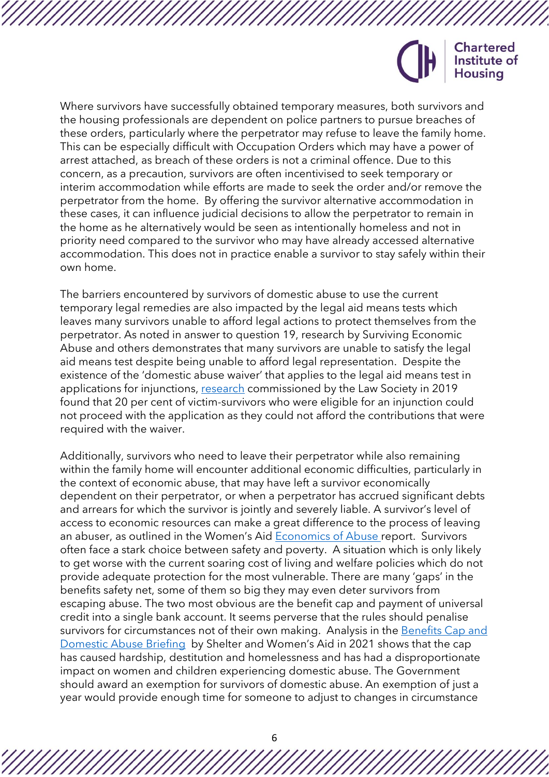

Where survivors have successfully obtained temporary measures, both survivors and the housing professionals are dependent on police partners to pursue breaches of these orders, particularly where the perpetrator may refuse to leave the family home. This can be especially difficult with Occupation Orders which may have a power of arrest attached, as breach of these orders is not a criminal offence. Due to this concern, as a precaution, survivors are often incentivised to seek temporary or interim accommodation while efforts are made to seek the order and/or remove the perpetrator from the home. By offering the survivor alternative accommodation in these cases, it can influence judicial decisions to allow the perpetrator to remain in the home as he alternatively would be seen as intentionally homeless and not in priority need compared to the survivor who may have already accessed alternative accommodation. This does not in practice enable a survivor to stay safely within their own home.

The barriers encountered by survivors of domestic abuse to use the current temporary legal remedies are also impacted by the legal aid means tests which leaves many survivors unable to afford legal actions to protect themselves from the perpetrator. As noted in answer to question 19, research by Surviving Economic Abuse and others demonstrates that many survivors are unable to satisfy the legal aid means test despite being unable to afford legal representation. Despite the existence of the 'domestic abuse waiver' that applies to the legal aid means test in applications for injunctions, [research](https://www.lawsociety.org.uk/en/topics/research/impact-of-legal-aid-thresholds-for-victims-of-domestic-violence) commissioned by the Law Society in 2019 found that 20 per cent of victim-survivors who were eligible for an injunction could not proceed with the application as they could not afford the contributions that were required with the waiver.

Additionally, survivors who need to leave their perpetrator while also remaining within the family home will encounter additional economic difficulties, particularly in the context of economic abuse, that may have left a survivor economically dependent on their perpetrator, or when a perpetrator has accrued significant debts and arrears for which the survivor is jointly and severely liable. A survivor's level of access to economic resources can make a great difference to the process of leaving an abuser, as outlined in the Women's Aid [Economics of Abuse r](https://www.womensaid.org.uk/wp-content/uploads/2019/12/Economics-of-Abuse-Report-2019.pdf)eport. Survivors often face a stark choice between safety and poverty. A situation which is only likely to get worse with the current soaring cost of living and welfare policies which do not provide adequate protection for the most vulnerable. There are many 'gaps' in the benefits safety net, some of them so big they may even deter survivors from escaping abuse. The two most obvious are the benefit cap and payment of universal credit into a single bank account. It seems perverse that the rules should penalise survivors for circumstances not of their own making. Analysis in the [Benefits Cap and](https://england.shelter.org.uk/professional_resources/policy_and_research/policy_library/joint_briefing_with_womens_aid_the_benefit_cap_and_domestic_abuse_)  [Domestic Abuse Briefing](https://england.shelter.org.uk/professional_resources/policy_and_research/policy_library/joint_briefing_with_womens_aid_the_benefit_cap_and_domestic_abuse_) by Shelter and Women's Aid in 2021 shows that the cap has caused hardship, destitution and homelessness and has had a disproportionate impact on women and children experiencing domestic abuse. The Government should award an exemption for survivors of domestic abuse. An exemption of just a year would provide enough time for someone to adjust to changes in circumstance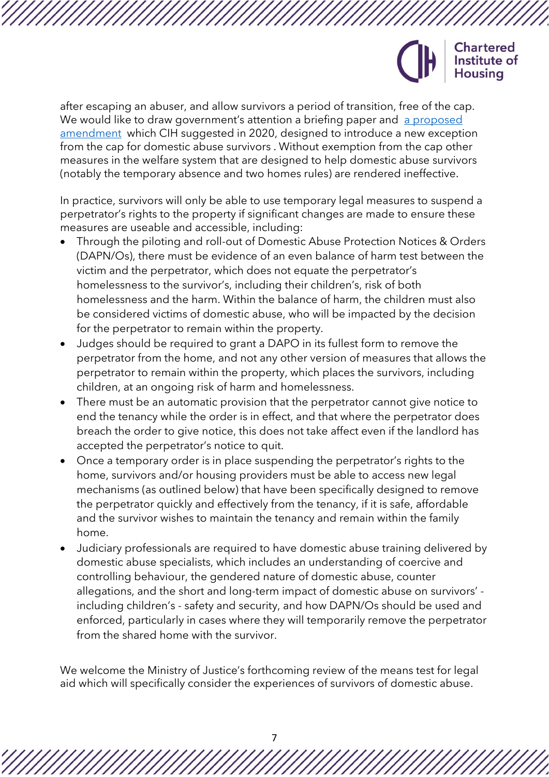

after escaping an abuser, and allow survivors a period of transition, free of the cap. We would like to draw government's attention a briefing paper and [a proposed](https://www.cih.org/publications/the-domestic-abuse-bill-and-the-benefit-cap-a-briefing-for-mps) [amendment](https://www.cih.org/publications/the-domestic-abuse-bill-and-the-benefit-cap-a-briefing-for-mps) which CIH suggested in 2020, designed to introduce a new exception from the cap for domestic abuse survivors . Without exemption from the cap other measures in the welfare system that are designed to help domestic abuse survivors (notably the temporary absence and two homes rules) are rendered ineffective.

In practice, survivors will only be able to use temporary legal measures to suspend a perpetrator's rights to the property if significant changes are made to ensure these measures are useable and accessible, including:

- Through the piloting and roll-out of Domestic Abuse Protection Notices & Orders (DAPN/Os), there must be evidence of an even balance of harm test between the victim and the perpetrator, which does not equate the perpetrator's homelessness to the survivor's, including their children's, risk of both homelessness and the harm. Within the balance of harm, the children must also be considered victims of domestic abuse, who will be impacted by the decision for the perpetrator to remain within the property.
- Judges should be required to grant a DAPO in its fullest form to remove the perpetrator from the home, and not any other version of measures that allows the perpetrator to remain within the property, which places the survivors, including children, at an ongoing risk of harm and homelessness.
- There must be an automatic provision that the perpetrator cannot give notice to end the tenancy while the order is in effect, and that where the perpetrator does breach the order to give notice, this does not take affect even if the landlord has accepted the perpetrator's notice to quit.
- Once a temporary order is in place suspending the perpetrator's rights to the home, survivors and/or housing providers must be able to access new legal mechanisms (as outlined below) that have been specifically designed to remove the perpetrator quickly and effectively from the tenancy, if it is safe, affordable and the survivor wishes to maintain the tenancy and remain within the family home.
- Judiciary professionals are required to have domestic abuse training delivered by domestic abuse specialists, which includes an understanding of coercive and controlling behaviour, the gendered nature of domestic abuse, counter allegations, and the short and long-term impact of domestic abuse on survivors' including children's - safety and security, and how DAPN/Os should be used and enforced, particularly in cases where they will temporarily remove the perpetrator from the shared home with the survivor.

We welcome the Ministry of Justice's forthcoming review of the means test for legal aid which will specifically consider the experiences of survivors of domestic abuse.